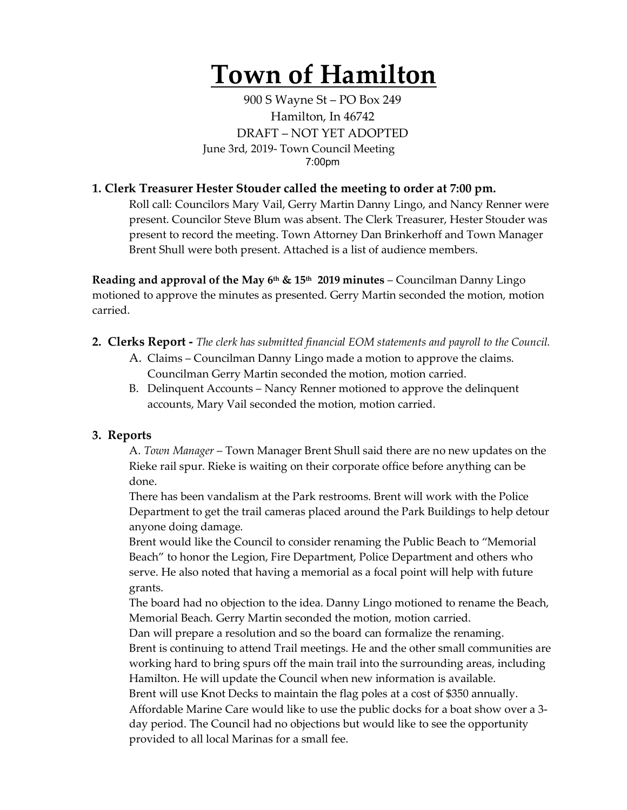# **Town of Hamilton**

900 S Wayne St – PO Box 249 Hamilton, In 46742 DRAFT – NOT YET ADOPTED June 3rd, 2019- Town Council Meeting 7:00pm

## **1. Clerk Treasurer Hester Stouder called the meeting to order at 7:00 pm.**

Roll call: Councilors Mary Vail, Gerry Martin Danny Lingo, and Nancy Renner were present. Councilor Steve Blum was absent. The Clerk Treasurer, Hester Stouder was present to record the meeting. Town Attorney Dan Brinkerhoff and Town Manager Brent Shull were both present. Attached is a list of audience members.

**Reading and approval of the May 6th & 15th 2019 minutes** – Councilman Danny Lingo motioned to approve the minutes as presented. Gerry Martin seconded the motion, motion carried.

- **2. Clerks Report -** *The clerk has submitted financial EOM statements and payroll to the Council.* 
	- A. Claims Councilman Danny Lingo made a motion to approve the claims. Councilman Gerry Martin seconded the motion, motion carried.
	- B. Delinquent Accounts Nancy Renner motioned to approve the delinquent accounts, Mary Vail seconded the motion, motion carried.

## **3. Reports**

A. *Town Manager* – Town Manager Brent Shull said there are no new updates on the Rieke rail spur. Rieke is waiting on their corporate office before anything can be done.

There has been vandalism at the Park restrooms. Brent will work with the Police Department to get the trail cameras placed around the Park Buildings to help detour anyone doing damage.

Brent would like the Council to consider renaming the Public Beach to "Memorial Beach" to honor the Legion, Fire Department, Police Department and others who serve. He also noted that having a memorial as a focal point will help with future grants.

The board had no objection to the idea. Danny Lingo motioned to rename the Beach, Memorial Beach. Gerry Martin seconded the motion, motion carried.

Dan will prepare a resolution and so the board can formalize the renaming. Brent is continuing to attend Trail meetings. He and the other small communities are working hard to bring spurs off the main trail into the surrounding areas, including Hamilton. He will update the Council when new information is available. Brent will use Knot Decks to maintain the flag poles at a cost of \$350 annually. Affordable Marine Care would like to use the public docks for a boat show over a 3 day period. The Council had no objections but would like to see the opportunity

provided to all local Marinas for a small fee.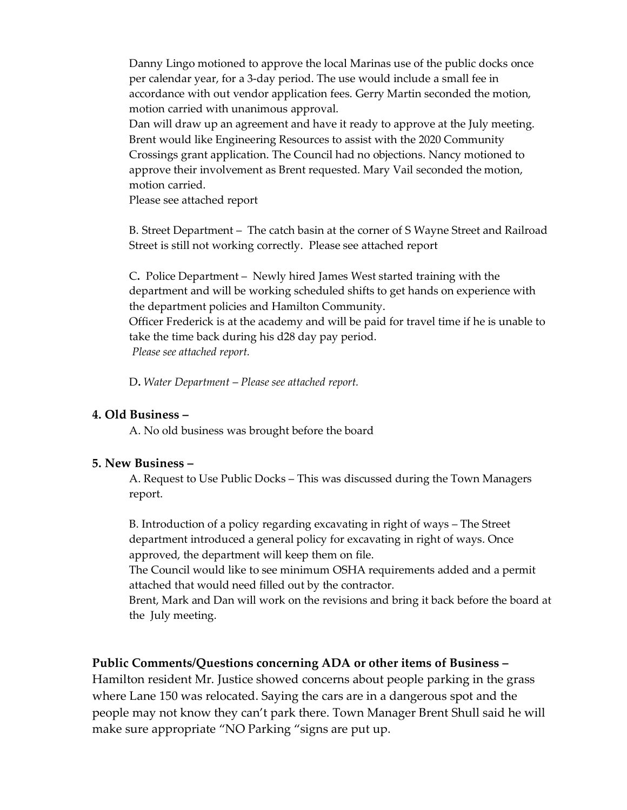Danny Lingo motioned to approve the local Marinas use of the public docks once per calendar year, for a 3-day period. The use would include a small fee in accordance with out vendor application fees. Gerry Martin seconded the motion, motion carried with unanimous approval.

Dan will draw up an agreement and have it ready to approve at the July meeting. Brent would like Engineering Resources to assist with the 2020 Community Crossings grant application. The Council had no objections. Nancy motioned to approve their involvement as Brent requested. Mary Vail seconded the motion, motion carried.

Please see attached report

B. Street Department – The catch basin at the corner of S Wayne Street and Railroad Street is still not working correctly. Please see attached report

C**.** Police Department – Newly hired James West started training with the department and will be working scheduled shifts to get hands on experience with the department policies and Hamilton Community. Officer Frederick is at the academy and will be paid for travel time if he is unable to take the time back during his d28 day pay period. *Please see attached report.*

D**.** *Water Department* – *Please see attached report.* 

#### **4. Old Business –**

A. No old business was brought before the board

#### **5. New Business –**

A. Request to Use Public Docks – This was discussed during the Town Managers report.

B. Introduction of a policy regarding excavating in right of ways – The Street department introduced a general policy for excavating in right of ways. Once approved, the department will keep them on file.

The Council would like to see minimum OSHA requirements added and a permit attached that would need filled out by the contractor.

Brent, Mark and Dan will work on the revisions and bring it back before the board at the July meeting.

## **Public Comments/Questions concerning ADA or other items of Business –**

Hamilton resident Mr. Justice showed concerns about people parking in the grass where Lane 150 was relocated. Saying the cars are in a dangerous spot and the people may not know they can't park there. Town Manager Brent Shull said he will make sure appropriate "NO Parking "signs are put up.